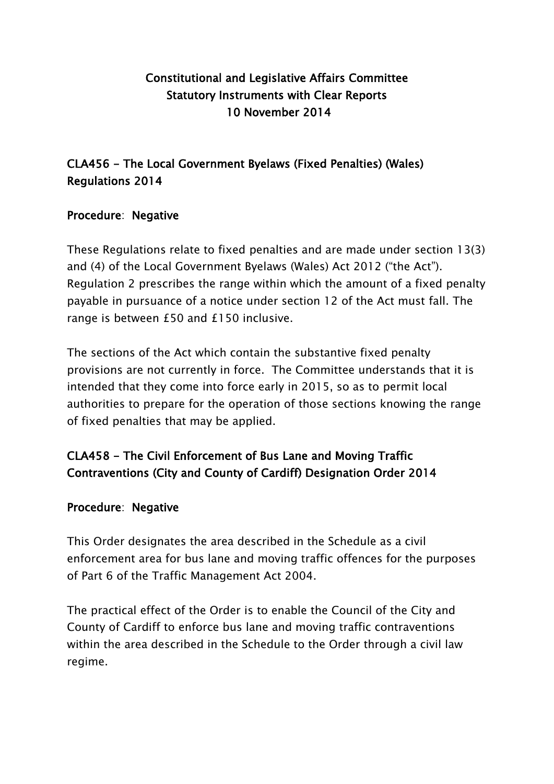# Constitutional and Legislative Affairs Committee Statutory Instruments with Clear Reports 10 November 2014

## CLA456 - The Local Government Byelaws (Fixed Penalties) (Wales) Regulations 2014

### Procedure: Negative

These Regulations relate to fixed penalties and are made under section 13(3) and (4) of the Local Government Byelaws (Wales) Act 2012 ("the Act"). Regulation 2 prescribes the range within which the amount of a fixed penalty payable in pursuance of a notice under section 12 of the Act must fall. The range is between £50 and £150 inclusive.

The sections of the Act which contain the substantive fixed penalty provisions are not currently in force. The Committee understands that it is intended that they come into force early in 2015, so as to permit local authorities to prepare for the operation of those sections knowing the range of fixed penalties that may be applied.

# CLA458 - The Civil Enforcement of Bus Lane and Moving Traffic Contraventions (City and County of Cardiff) Designation Order 2014

#### Procedure: Negative

This Order designates the area described in the Schedule as a civil enforcement area for bus lane and moving traffic offences for the purposes of Part 6 of the Traffic Management Act 2004.

The practical effect of the Order is to enable the Council of the City and County of Cardiff to enforce bus lane and moving traffic contraventions within the area described in the Schedule to the Order through a civil law regime.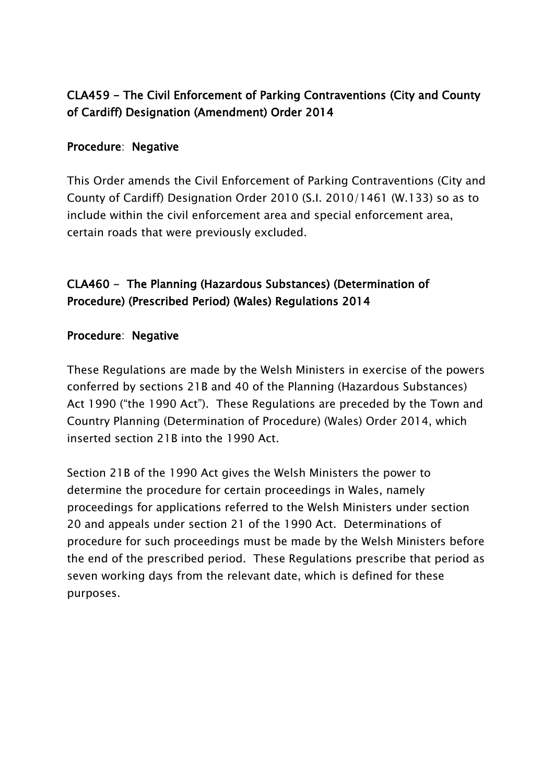# CLA459 - The Civil Enforcement of Parking Contraventions (City and County of Cardiff) Designation (Amendment) Order 2014

### Procedure: Negative

This Order amends the Civil Enforcement of Parking Contraventions (City and County of Cardiff) Designation Order 2010 (S.I. 2010/1461 (W.133) so as to include within the civil enforcement area and special enforcement area, certain roads that were previously excluded.

### CLA460 - The Planning (Hazardous Substances) (Determination of Procedure) (Prescribed Period) (Wales) Regulations 2014

#### Procedure: Negative

These Regulations are made by the Welsh Ministers in exercise of the powers conferred by sections 21B and 40 of the Planning (Hazardous Substances) Act 1990 ("the 1990 Act"). These Regulations are preceded by the Town and Country Planning (Determination of Procedure) (Wales) Order 2014, which inserted section 21B into the 1990 Act.

Section 21B of the 1990 Act gives the Welsh Ministers the power to determine the procedure for certain proceedings in Wales, namely proceedings for applications referred to the Welsh Ministers under section 20 and appeals under section 21 of the 1990 Act. Determinations of procedure for such proceedings must be made by the Welsh Ministers before the end of the prescribed period. These Regulations prescribe that period as seven working days from the relevant date, which is defined for these purposes.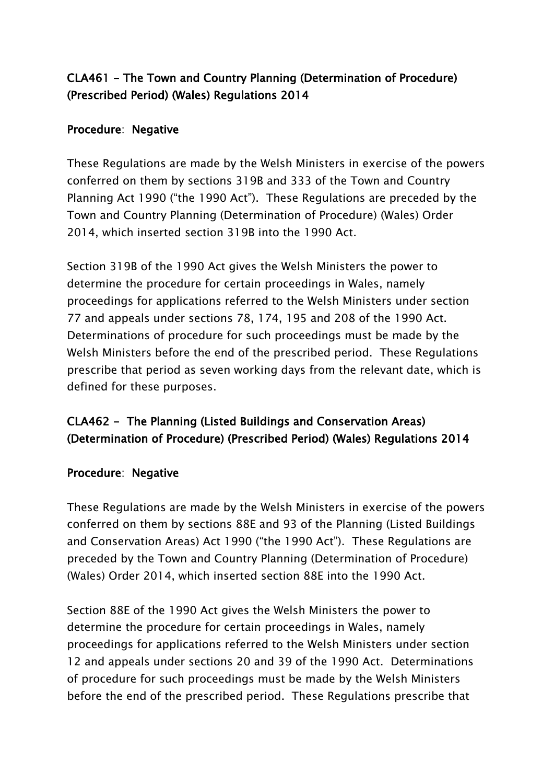## CLA461 - The Town and Country Planning (Determination of Procedure) (Prescribed Period) (Wales) Regulations 2014

### Procedure: Negative

These Regulations are made by the Welsh Ministers in exercise of the powers conferred on them by sections 319B and 333 of the Town and Country Planning Act 1990 ("the 1990 Act"). These Regulations are preceded by the Town and Country Planning (Determination of Procedure) (Wales) Order 2014, which inserted section 319B into the 1990 Act.

Section 319B of the 1990 Act gives the Welsh Ministers the power to determine the procedure for certain proceedings in Wales, namely proceedings for applications referred to the Welsh Ministers under section 77 and appeals under sections 78, 174, 195 and 208 of the 1990 Act. Determinations of procedure for such proceedings must be made by the Welsh Ministers before the end of the prescribed period. These Regulations prescribe that period as seven working days from the relevant date, which is defined for these purposes.

# CLA462 - The Planning (Listed Buildings and Conservation Areas) (Determination of Procedure) (Prescribed Period) (Wales) Regulations 2014

#### Procedure: Negative

These Regulations are made by the Welsh Ministers in exercise of the powers conferred on them by sections 88E and 93 of the Planning (Listed Buildings and Conservation Areas) Act 1990 ("the 1990 Act"). These Regulations are preceded by the Town and Country Planning (Determination of Procedure) (Wales) Order 2014, which inserted section 88E into the 1990 Act.

Section 88E of the 1990 Act gives the Welsh Ministers the power to determine the procedure for certain proceedings in Wales, namely proceedings for applications referred to the Welsh Ministers under section 12 and appeals under sections 20 and 39 of the 1990 Act. Determinations of procedure for such proceedings must be made by the Welsh Ministers before the end of the prescribed period. These Regulations prescribe that